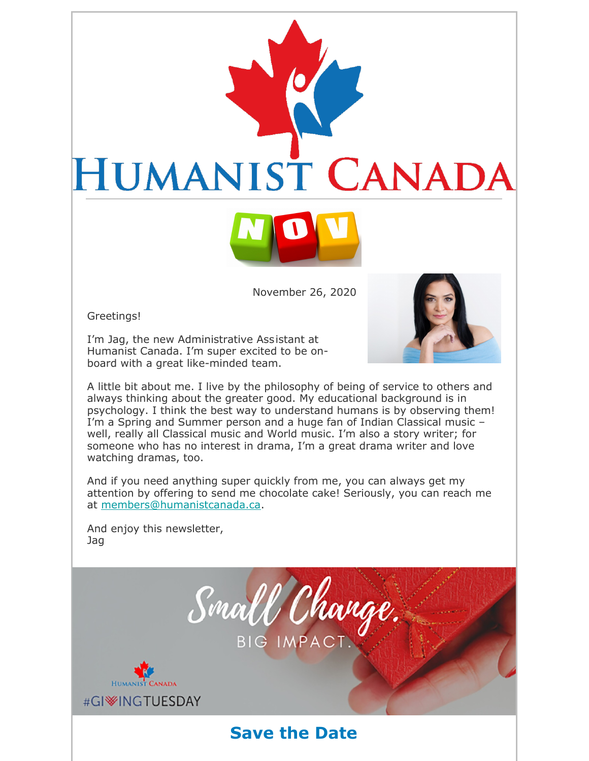

November 26, 2020

Greetings!

I'm Jag, the new Administrative Assistant at Humanist Canada. I'm super excited to be onboard with a great like-minded team.



A little bit about me. I live by the philosophy of being of service to others and always thinking about the greater good. My educational background is in psychology. I think the best way to understand humans is by observing them! I'm a Spring and Summer person and a huge fan of Indian Classical music – well, really all Classical music and World music. I'm also a story writer; for someone who has no interest in drama, I'm a great drama writer and love watching dramas, too.

And if you need anything super quickly from me, you can always get my attention by offering to send me chocolate cake! Seriously, you can reach me at members@humanistcanada.ca.

And enjoy this newsletter, Jag

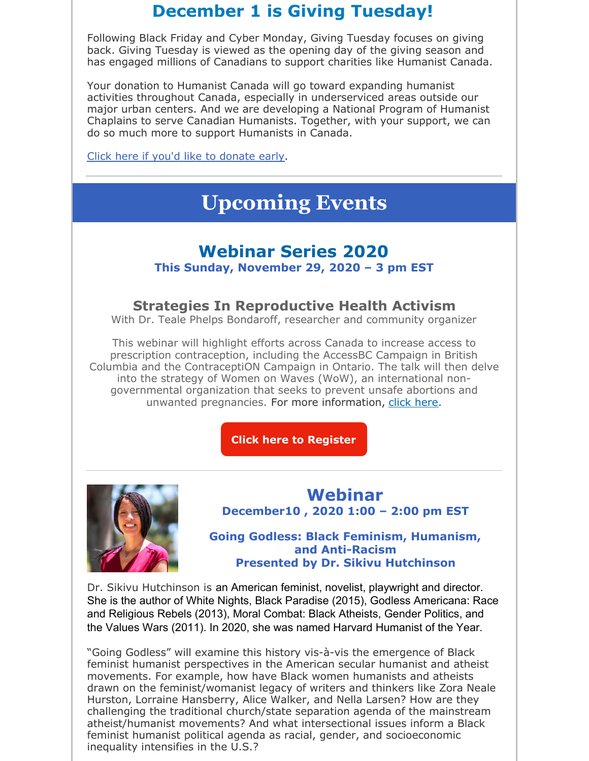## **December 1 is Giving Tuesday!**

Following Black Friday and Cyber Monday, Giving Tuesday focuses on giving back. Giving Tuesday is viewed as the opening day of the giving season and has engaged millions of Canadians to support charities like Humanist Canada.

Your donation to Humanist Canada will go toward expanding humanist activities throughout Canada, especially in underserviced areas outside our major urban centers. And we are developing a National Program of Humanist Chaplains to serve Canadian Humanists. Together, with your support, we can do so much more to support Humanists in Canada.

Click here if you'd like to donate early.

# **Upcoming Events**

## **Webinar Series 2020**

**This Sunday, November 29, 2020 – 3 pm EST**

### **Strategies In Reproductive Health Activism**

With Dr. Teale Phelps Bondaroff, researcher and community organizer

This webinar will highlight efforts across Canada to increase access to prescription contraception, including the AccessBC Campaign in British Columbia and the ContraceptiON Campaign in Ontario. The talk will then delve into the strategy of Women on Waves (WoW), an international nongovernmental organization that seeks to prevent unsafe abortions and unwanted pregnancies. For more information, click here.

**Click here to Register**



### **Webinar December10 , 2020 1:00 – 2:00 pm EST**

**Going Godless: Black Feminism, Humanism, and Anti-Racism Presented by Dr. Sikivu Hutchinson**

Dr. Sikivu Hutchinson is an American feminist, novelist, playwright and director. She is the author of White Nights, Black Paradise (2015), Godless Americana: Race and Religious Rebels (2013), Moral Combat: Black Atheists, Gender Politics, and the Values Wars (2011). In 2020, she was named Harvard Humanist of the Year.

"Going Godless" will examine this history vis-à-vis the emergence of Black feminist humanist perspectives in the American secular humanist and atheist movements. For example, how have Black women humanists and atheists drawn on the feminist/womanist legacy of writers and thinkers like Zora Neale Hurston, Lorraine Hansberry, Alice Walker, and Nella Larsen? How are they challenging the traditional church/state separation agenda of the mainstream atheist/humanist movements? And what intersectional issues inform a Black feminist humanist political agenda as racial, gender, and socioeconomic inequality intensifies in the U.S.?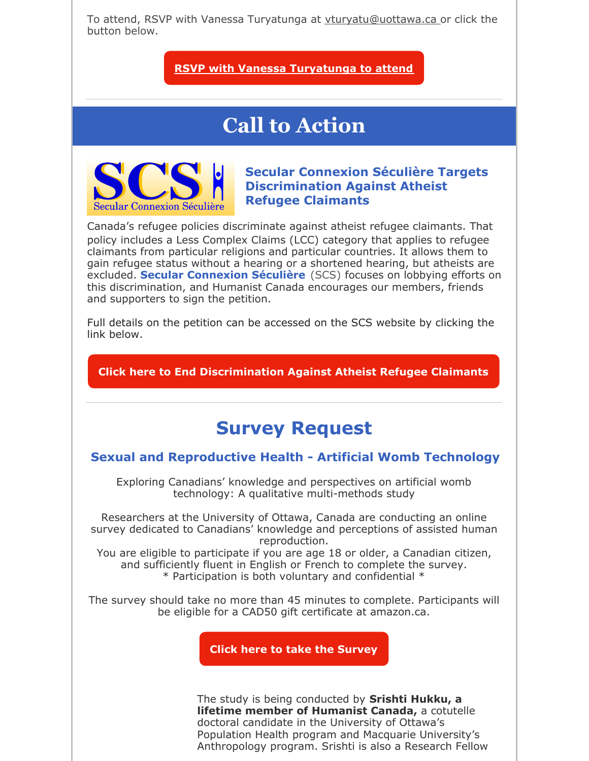To attend, RSVP with Vanessa Turyatunga at vturyatu@uottawa.ca or click the button below.

### **RSVP with Vanessa Turyatunga to attend**

# **Call to Action**



**Secular Connexion Séculière Targets Discrimination Against Atheist Refugee Claimants**

Canada's refugee policies discriminate against atheist refugee claimants. That policy includes a Less Complex Claims (LCC) category that applies to refugee claimants from particular religions and particular countries. It allows them to gain refugee status without a hearing or a shortened hearing, but atheists are excluded. **Secular Connexion Séculière** (SCS) focuses on lobbying efforts on this discrimination, and Humanist Canada encourages our members, friends and supporters to sign the petition.

Full details on the petition can be accessed on the SCS website by clicking the link below.

**Click here to End Discrimination Against Atheist Refugee Claimants**

## **Survey Request**

#### **Sexual and Reproductive Health - Artificial Womb Technology**

Exploring Canadians' knowledge and perspectives on artificial womb technology: A qualitative multi-methods study

Researchers at the University of Ottawa, Canada are conducting an online survey dedicated to Canadians' knowledge and perceptions of assisted human reproduction.

You are eligible to participate if you are age 18 or older, a Canadian citizen, and sufficiently fluent in English or French to complete the survey. \* Participation is both voluntary and confidential \*

The survey should take no more than 45 minutes to complete. Participants will be eligible for a CAD50 gift certificate at amazon.ca.

**Click here to take the Survey**

The study is being conducted by **Srishti Hukku, a lifetime member of Humanist Canada,** a cotutelle doctoral candidate in the University of Ottawa's Population Health program and Macquarie University's Anthropology program. Srishti is also a Research Fellow